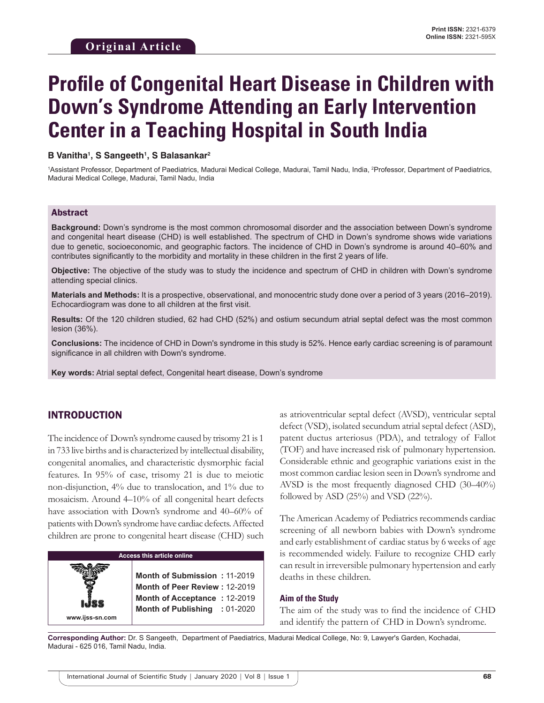# **Profile of Congenital Heart Disease in Children with Down's Syndrome Attending an Early Intervention Center in a Teaching Hospital in South India**

#### **B Vanitha1 , S Sangeeth1 , S Balasankar2**

<sup>1</sup>Assistant Professor, Department of Paediatrics, Madurai Medical College, Madurai, Tamil Nadu, India, <sup>2</sup>Professor, Department of Paediatrics, Madurai Medical College, Madurai, Tamil Nadu, India

#### Abstract

**Background:** Down's syndrome is the most common chromosomal disorder and the association between Down's syndrome and congenital heart disease (CHD) is well established. The spectrum of CHD in Down's syndrome shows wide variations due to genetic, socioeconomic, and geographic factors. The incidence of CHD in Down's syndrome is around 40–60% and contributes significantly to the morbidity and mortality in these children in the first 2 years of life.

**Objective:** The objective of the study was to study the incidence and spectrum of CHD in children with Down's syndrome attending special clinics.

**Materials and Methods:** It is a prospective, observational, and monocentric study done over a period of 3 years (2016–2019). Echocardiogram was done to all children at the first visit.

**Results:** Of the 120 children studied, 62 had CHD (52%) and ostium secundum atrial septal defect was the most common lesion (36%).

**Conclusions:** The incidence of CHD in Down's syndrome in this study is 52%. Hence early cardiac screening is of paramount significance in all children with Down's syndrome.

**Key words:** Atrial septal defect, Congenital heart disease, Down's syndrome

## INTRODUCTION

The incidence of Down's syndrome caused by trisomy 21 is 1 in 733 live births and is characterized by intellectual disability, congenital anomalies, and characteristic dysmorphic facial features. In 95% of case, trisomy 21 is due to meiotic non-disjunction, 4% due to translocation, and 1% due to mosaicism. Around 4–10% of all congenital heart defects have association with Down's syndrome and 40–60% of patients with Down's syndrome have cardiac defects. Affected children are prone to congenital heart disease (CHD) such

**Access this article online www.ijss-sn.com Month of Submission :** 11-2019 **Month of Peer Review :** 12-2019 **Month of Acceptance :** 12-2019 **Month of Publishing :** 01-2020 as atrioventricular septal defect (AVSD), ventricular septal defect (VSD), isolated secundum atrial septal defect (ASD), patent ductus arteriosus (PDA), and tetralogy of Fallot (TOF) and have increased risk of pulmonary hypertension. Considerable ethnic and geographic variations exist in the most common cardiac lesion seen in Down's syndrome and AVSD is the most frequently diagnosed CHD (30–40%) followed by ASD (25%) and VSD (22%).

The American Academy of Pediatrics recommends cardiac screening of all newborn babies with Down's syndrome and early establishment of cardiac status by 6 weeks of age is recommended widely. Failure to recognize CHD early can result in irreversible pulmonary hypertension and early deaths in these children.

#### **Aim of the Study**

The aim of the study was to find the incidence of CHD and identify the pattern of CHD in Down's syndrome.

**Corresponding Author:** Dr. S Sangeeth, Department of Paediatrics, Madurai Medical College, No: 9, Lawyer's Garden, Kochadai, Madurai - 625 016, Tamil Nadu, India.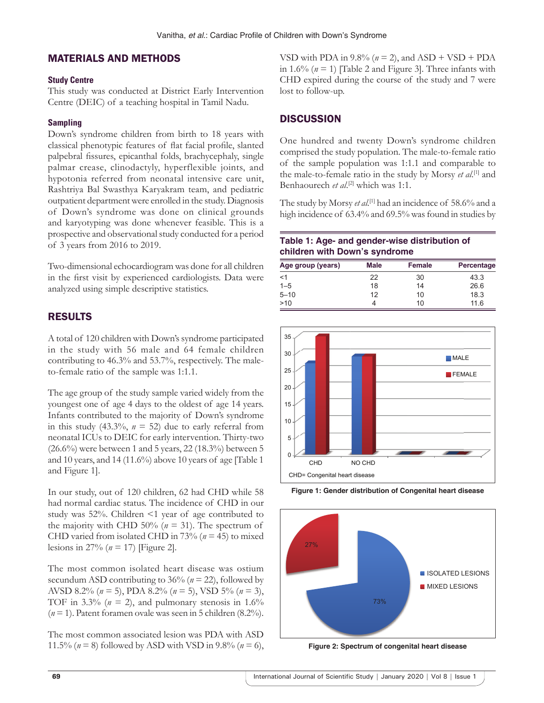## MATERIALS AND METHODS

### **Study Centre**

This study was conducted at District Early Intervention Centre (DEIC) of a teaching hospital in Tamil Nadu.

## **Sampling**

Down's syndrome children from birth to 18 years with classical phenotypic features of flat facial profile, slanted palpebral fissures, epicanthal folds, brachycephaly, single palmar crease, clinodactyly, hyperflexible joints, and hypotonia referred from neonatal intensive care unit, Rashtriya Bal Swasthya Karyakram team, and pediatric outpatient department were enrolled in the study. Diagnosis of Down's syndrome was done on clinical grounds and karyotyping was done whenever feasible. This is a prospective and observational study conducted for a period of 3 years from 2016 to 2019.

Two-dimensional echocardiogram was done for all children in the first visit by experienced cardiologists. Data were analyzed using simple descriptive statistics.

# RESULTS

A total of 120 children with Down's syndrome participated in the study with 56 male and 64 female children contributing to 46.3% and 53.7%, respectively. The maleto-female ratio of the sample was 1:1.1.

The age group of the study sample varied widely from the youngest one of age 4 days to the oldest of age 14 years. Infants contributed to the majority of Down's syndrome in this study  $(43.3\%, n = 52)$  due to early referral from neonatal ICUs to DEIC for early intervention. Thirty-two (26.6%) were between 1 and 5 years, 22 (18.3%) between 5 and 10 years, and 14 (11.6%) above 10 years of age [Table 1 and Figure 1].

In our study, out of 120 children, 62 had CHD while 58 had normal cardiac status. The incidence of CHD in our study was 52%. Children <1 year of age contributed to the majority with CHD 50% ( $n = 31$ ). The spectrum of CHD varied from isolated CHD in 73% (*n* = 45) to mixed lesions in 27% (*n* = 17) [Figure 2].

The most common isolated heart disease was ostium secundum ASD contributing to 36% (*n* = 22), followed by AVSD 8.2% (*n* = 5), PDA 8.2% (*n* = 5), VSD 5% (*n* = 3), TOF in 3.3% ( $n = 2$ ), and pulmonary stenosis in 1.6% (*n* = 1). Patent foramen ovale was seen in 5 children (8.2%).

The most common associated lesion was PDA with ASD 11.5% (*n* = 8) followed by ASD with VSD in 9.8% (*n* = 6), VSD with PDA in  $9.8\%$  ( $n = 2$ ), and ASD + VSD + PDA in 1.6% (*n* = 1) [Table 2 and Figure 3]. Three infants with CHD expired during the course of the study and 7 were lost to follow-up.

# **DISCUSSION**

One hundred and twenty Down's syndrome children comprised the study population. The male-to-female ratio of the sample population was 1:1.1 and comparable to the male-to-female ratio in the study by Morsy *et al*. [1] and Benhaourech *et al*. [2] which was 1:1.

The study by Morsy *et al*. [1] had an incidence of 58.6% and a high incidence of 63.4% and 69.5% was found in studies by

### **Table 1: Age‑ and gender‑wise distribution of children with Down's syndrome**

| Age group (years) | Male | <b>Female</b> | Percentage |
|-------------------|------|---------------|------------|
| $<$ 1             | 22   | 30            | 43.3       |
| $1 - 5$           | 18   | 14            | 26.6       |
| $5 - 10$          | 12   | 10            | 18.3       |
| >10               | 4    | 10            | 11.6       |



**Figure 1: Gender distribution of Congenital heart disease**



**Figure 2: Spectrum of congenital heart disease**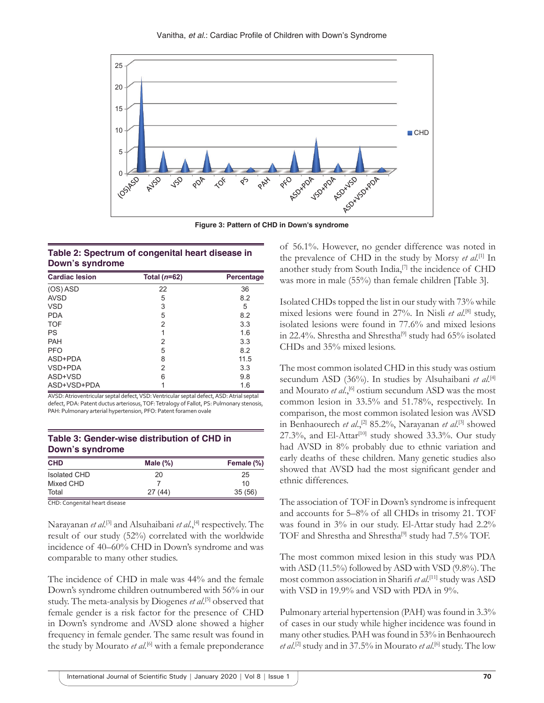

**Figure 3: Pattern of CHD in Down's syndrome**

### **Table 2: Spectrum of congenital heart disease in Down's syndrome**

| <b>Cardiac lesion</b> | Total $(n=62)$ | Percentage |  |
|-----------------------|----------------|------------|--|
| (OS) ASD              | 22             | 36         |  |
| <b>AVSD</b>           | 5              | 8.2        |  |
| <b>VSD</b>            | 3              | 5          |  |
| <b>PDA</b>            | 5              | 8.2        |  |
| <b>TOF</b>            | 2              | 3.3        |  |
| PS                    |                | 1.6        |  |
| <b>PAH</b>            | 2              | 3.3        |  |
| <b>PFO</b>            | 5              | 8.2        |  |
| ASD+PDA               | 8              | 11.5       |  |
| VSD+PDA               | 2              | 3.3        |  |
| ASD+VSD               | 6              | 9.8        |  |
| ASD+VSD+PDA           |                | 1.6        |  |

AVSD: Atrioventricular septal defect, VSD: Ventricular septal defect, ASD: Atrial septal defect, PDA: Patent ductus arteriosus, TOF: Tetralogy of Fallot, PS: Pulmonary stenosis, PAH: Pulmonary arterial hypertension, PFO: Patent foramen ovale

| Table 3: Gender-wise distribution of CHD in |  |
|---------------------------------------------|--|
| Down's syndrome                             |  |

| <b>CHD</b>          | Male $(\%)$ | Female (%) |  |
|---------------------|-------------|------------|--|
| <b>Isolated CHD</b> | 20          | 25<br>10   |  |
| Mixed CHD           |             |            |  |
| Total               | 27(44)      | 35(56)     |  |

CHD: Congenital heart disease

Narayanan *et al*. [3] and Alsuhaibani *et al*.,[4] respectively. The result of our study (52%) correlated with the worldwide incidence of 40–60% CHD in Down's syndrome and was comparable to many other studies.

The incidence of CHD in male was 44% and the female Down's syndrome children outnumbered with 56% in our study. The meta-analysis by Diogenes *et al*.<sup>[5]</sup> observed that female gender is a risk factor for the presence of CHD in Down's syndrome and AVSD alone showed a higher frequency in female gender. The same result was found in the study by Mourato *et al.*<sup>[6]</sup> with a female preponderance of 56.1%. However, no gender difference was noted in the prevalence of CHD in the study by Morsy *et al*. [1] In another study from South India,<sup>[7]</sup> the incidence of CHD was more in male (55%) than female children [Table 3].

Isolated CHDs topped the list in our study with 73% while mixed lesions were found in 27%. In Nisli *et al*. [8] study, isolated lesions were found in 77.6% and mixed lesions in 22.4%. Shrestha and Shrestha<sup>[9]</sup> study had 65% isolated CHDs and 35% mixed lesions.

The most common isolated CHD in this study was ostium secundum ASD (36%). In studies by Alsuhaibani et al.<sup>[4]</sup> and Mourato *et al.*,<sup>[6]</sup> ostium secundum ASD was the most common lesion in 33.5% and 51.78%, respectively. In comparison, the most common isolated lesion was AVSD in Benhaourech et al.,<sup>[2]</sup> 85.2%, Narayanan et al.<sup>[3]</sup> showed 27.3%, and El-Attar<sup>[10]</sup> study showed 33.3%. Our study had AVSD in 8% probably due to ethnic variation and early deaths of these children. Many genetic studies also showed that AVSD had the most significant gender and ethnic differences.

The association of TOF in Down's syndrome is infrequent and accounts for 5–8% of all CHDs in trisomy 21. TOF was found in 3% in our study. El-Attar study had 2.2% TOF and Shrestha and Shrestha<sup>[9]</sup> study had 7.5% TOF.

The most common mixed lesion in this study was PDA with ASD (11.5%) followed by ASD with VSD (9.8%). The most common association in Sharifi *et al*. [11] study was ASD with VSD in 19.9% and VSD with PDA in 9%.

Pulmonary arterial hypertension (PAH) was found in 3.3% of cases in our study while higher incidence was found in many other studies. PAH was found in 53% in Benhaourech *et al*. [2] study and in 37.5% in Mourato *et al*. [6] study. The low